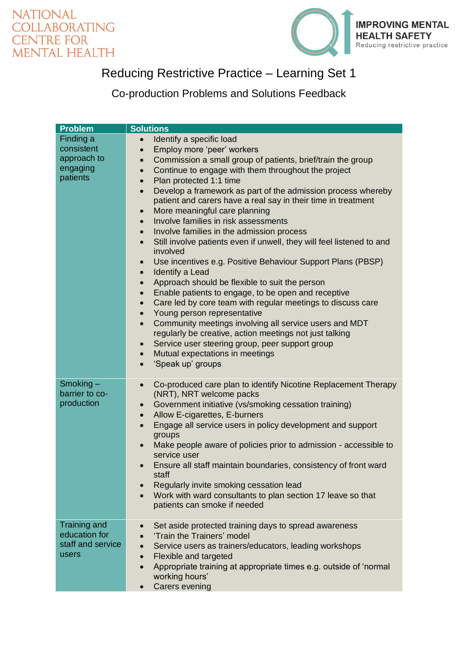



## Reducing Restrictive Practice – Learning Set 1

Co-production Problems and Solutions Feedback

| <b>Problem</b>                                                 | <b>Solutions</b>                                                                                                                                                                                                                                                                                                                                                                                                                                                                                                                                                                                                                                                                                                                                                                                                                                                                                                                                                                                                                                                                                                                                                                                                                                                                                          |
|----------------------------------------------------------------|-----------------------------------------------------------------------------------------------------------------------------------------------------------------------------------------------------------------------------------------------------------------------------------------------------------------------------------------------------------------------------------------------------------------------------------------------------------------------------------------------------------------------------------------------------------------------------------------------------------------------------------------------------------------------------------------------------------------------------------------------------------------------------------------------------------------------------------------------------------------------------------------------------------------------------------------------------------------------------------------------------------------------------------------------------------------------------------------------------------------------------------------------------------------------------------------------------------------------------------------------------------------------------------------------------------|
| Finding a<br>consistent<br>approach to<br>engaging<br>patients | Identify a specific load<br>Employ more 'peer' workers<br>$\bullet$<br>Commission a small group of patients, brief/train the group<br>$\bullet$<br>Continue to engage with them throughout the project<br>$\bullet$<br>Plan protected 1:1 time<br>$\bullet$<br>Develop a framework as part of the admission process whereby<br>$\bullet$<br>patient and carers have a real say in their time in treatment<br>More meaningful care planning<br>$\bullet$<br>Involve families in risk assessments<br>$\bullet$<br>Involve families in the admission process<br>Still involve patients even if unwell, they will feel listened to and<br>$\bullet$<br>involved<br>Use incentives e.g. Positive Behaviour Support Plans (PBSP)<br>$\bullet$<br>Identify a Lead<br>$\bullet$<br>Approach should be flexible to suit the person<br>$\bullet$<br>Enable patients to engage, to be open and receptive<br>$\bullet$<br>Care led by core team with regular meetings to discuss care<br>$\bullet$<br>Young person representative<br>Community meetings involving all service users and MDT<br>$\bullet$<br>regularly be creative, action meetings not just talking<br>Service user steering group, peer support group<br>$\bullet$<br>Mutual expectations in meetings<br>$\bullet$<br>'Speak up' groups<br>$\bullet$ |
| $Smoking -$<br>barrier to co-<br>production                    | Co-produced care plan to identify Nicotine Replacement Therapy<br>$\bullet$<br>(NRT), NRT welcome packs<br>Government initiative (vs/smoking cessation training)<br>$\bullet$<br>Allow E-cigarettes, E-burners<br>$\bullet$<br>Engage all service users in policy development and support<br>$\bullet$<br>groups<br>Make people aware of policies prior to admission - accessible to<br>$\bullet$<br>service user<br>Ensure all staff maintain boundaries, consistency of front ward<br>staff<br>Regularly invite smoking cessation lead<br>Work with ward consultants to plan section 17 leave so that<br>patients can smoke if needed                                                                                                                                                                                                                                                                                                                                                                                                                                                                                                                                                                                                                                                                   |
| <b>Training and</b>                                            | Set aside protected training days to spread awareness                                                                                                                                                                                                                                                                                                                                                                                                                                                                                                                                                                                                                                                                                                                                                                                                                                                                                                                                                                                                                                                                                                                                                                                                                                                     |
| education for<br>staff and service                             | 'Train the Trainers' model<br>Service users as trainers/educators, leading workshops                                                                                                                                                                                                                                                                                                                                                                                                                                                                                                                                                                                                                                                                                                                                                                                                                                                                                                                                                                                                                                                                                                                                                                                                                      |
| users                                                          | Flexible and targeted                                                                                                                                                                                                                                                                                                                                                                                                                                                                                                                                                                                                                                                                                                                                                                                                                                                                                                                                                                                                                                                                                                                                                                                                                                                                                     |
|                                                                | Appropriate training at appropriate times e.g. outside of 'normal<br>working hours'<br><b>Carers evening</b>                                                                                                                                                                                                                                                                                                                                                                                                                                                                                                                                                                                                                                                                                                                                                                                                                                                                                                                                                                                                                                                                                                                                                                                              |
|                                                                |                                                                                                                                                                                                                                                                                                                                                                                                                                                                                                                                                                                                                                                                                                                                                                                                                                                                                                                                                                                                                                                                                                                                                                                                                                                                                                           |